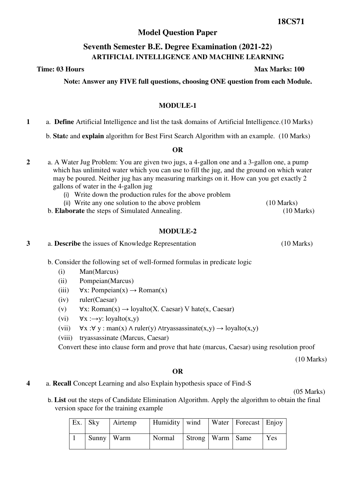# **Model Question Paper**

# **Seventh Semester B.E. Degree Examination (2021-22) ARTIFICIAL INTELLIGENCE AND MACHINE LEARNING**

**Note: Answer any FIVE full questions, choosing ONE question from each Module.** 

## **MODULE-1**

**1** a. **Define** Artificial Intelligence and list the task domains of Artificial Intelligence. (10 Marks)

b. **Stat**e and **explain** algorithm for Best First Search Algorithm with an example. (10 Marks)

#### **OR**

- **2** a. A Water Jug Problem: You are given two jugs, a 4-gallon one and a 3-gallon one, a pump which has unlimited water which you can use to fill the jug, and the ground on which water may be poured. Neither jug has any measuring markings on it. How can you get exactly 2 gallons of water in the 4-gallon jug
	- (i) Write down the production rules for the above problem
	- (ii) Write any one solution to the above problem (10 Marks)
	- b. **Elaborate** the steps of Simulated Annealing. (10 Marks)

### **MODULE-2**

**3** a. **Describe** the issues of Knowledge Representation (10 Marks)

- b. Consider the following set of well-formed formulas in predicate logic
	- (i) Man(Marcus)
	- (ii) Pompeian(Marcus)
	- (iii)  $\forall x: Pompeian(x) \rightarrow Roman(x)$
	- (iv) ruler(Caesar)
	- (v)  $\forall x: Roman(x) \rightarrow lovalto(X. Caesar) V hate(x, Caesar)$
	- (vi)  $\forall x : \rightarrow y: \text{logalto}(x, y)$
	- (vii)  $\forall x : \forall y : man(x) \land ruler(y) \land trvassassinate(x,y) \rightarrow lovalto(x,y)$
	- (viii) tryassassinate (Marcus, Caesar)

Convert these into clause form and prove that hate (marcus, Caesar) using resolution proof

(10 Marks)

# **OR**

**4** a. **Recall** Concept Learning and also Explain hypothesis space of Find-S

(05 Marks)

b. **List** out the steps of Candidate Elimination Algorithm. Apply the algorithm to obtain the final version space for the training example

| $Ex.$ Sky    | Airtemp | Humidity   wind |                      | Water   Forecast   Enjoy |     |
|--------------|---------|-----------------|----------------------|--------------------------|-----|
| Sunny   Warm |         | Normal          | Strong   Warm   Same |                          | Yes |

**Time: 03 Hours Max Marks: 100**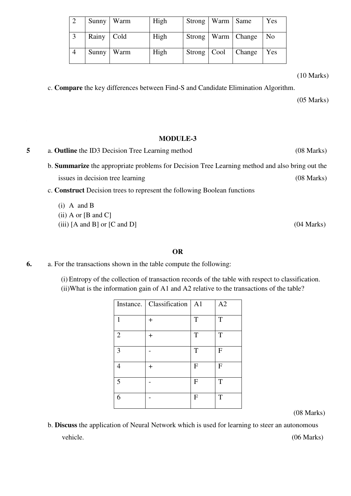|       | Sunny   Warm | High | Strong   Warm   Same |                        | Yes            |
|-------|--------------|------|----------------------|------------------------|----------------|
| Rainy | $ $ Cold     | High |                      | Strong   Warm   Change | N <sub>0</sub> |
| Sunny | <b>Warm</b>  | High |                      | Strong   Cool   Change | Yes            |

(10 Marks)

c. **Compare** the key differences between Find-S and Candidate Elimination Algorithm.

(05 Marks)

#### **MODULE-3**

**5** a. **Outline** the ID3 Decision Tree Learning method (08 Marks) b. **Summarize** the appropriate problems for Decision Tree Learning method and also bring out the issues in decision tree learning (08 Marks) c. **Construct** Decision trees to represent the following Boolean functions (i) A and B  $(ii)$  A or  $[B \text{ and } C]$  $(iii)$  [A and B] or [C and D]  $(04 \text{ Marks})$ 

#### **OR**

**6.** a. For the transactions shown in the table compute the following:

(i) Entropy of the collection of transaction records of the table with respect to classification. (ii)What is the information gain of A1 and A2 relative to the transactions of the table?

|                         | Instance.   Classification | A <sub>1</sub> | A2           |
|-------------------------|----------------------------|----------------|--------------|
| 1                       | $\pm$                      | T              | T            |
| $\overline{2}$          | $\ddot{}$                  | T              | T            |
| 3                       |                            | T              | F            |
|                         | $\pm$                      | $\mathbf{F}$   | $\mathbf{F}$ |
| $\overline{\mathbf{5}}$ |                            | $\mathbf{F}$   | T            |
| 6                       |                            | $\mathbf{F}$   | T            |

(08 Marks)

b. **Discuss** the application of Neural Network which is used for learning to steer an autonomous vehicle. (06 Marks)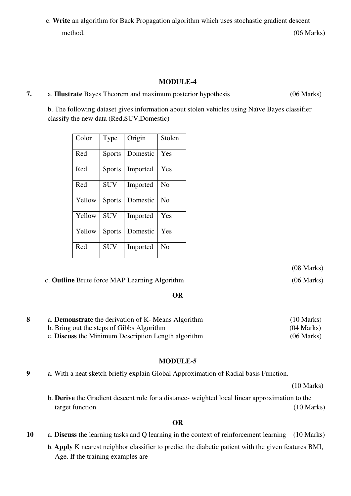c. **Write** an algorithm for Back Propagation algorithm which uses stochastic gradient descent method. (06 Marks)

## **MODULE-4**

### **7.** a. **Illustrate** Bayes Theorem and maximum posterior hypothesis (06 Marks)

b. The following dataset gives information about stolen vehicles using Naïve Bayes classifier classify the new data (Red,SUV,Domestic)

| Color  | Type          | Origin   | Stolen         |
|--------|---------------|----------|----------------|
| Red    | <b>Sports</b> | Domestic | Yes            |
| Red    | <b>Sports</b> | Imported | Yes            |
| Red    | <b>SUV</b>    | Imported | N <sub>0</sub> |
| Yellow | <b>Sports</b> | Domestic | No             |
| Yellow | <b>SUV</b>    | Imported | Yes            |
| Yellow | <b>Sports</b> | Domestic | Yes            |
| Red    | <b>SUV</b>    | Imported | N <sub>0</sub> |

(08 Marks)

c. **Outline** Brute force MAP Learning Algorithm (06 Marks)

**OR**

| a. <b>Demonstrate</b> the derivation of K- Means Algorithm | $(10 \text{ Marks})$ |
|------------------------------------------------------------|----------------------|
| b. Bring out the steps of Gibbs Algorithm                  | $(04 \text{ Marks})$ |
| c. Discuss the Minimum Description Length algorithm        | $(06 \text{ Marks})$ |

# **MODULE-5**

**9** a. With a neat sketch briefly explain Global Approximation of Radial basis Function.

(10 Marks)

b. **Derive** the Gradient descent rule for a distance- weighted local linear approximation to the target function (10 Marks)

# **OR**

- **10** a. **Discuss** the learning tasks and Q learning in the context of reinforcement learning (10 Marks)
	- b. **Apply** K nearest neighbor classifier to predict the diabetic patient with the given features BMI, Age. If the training examples are